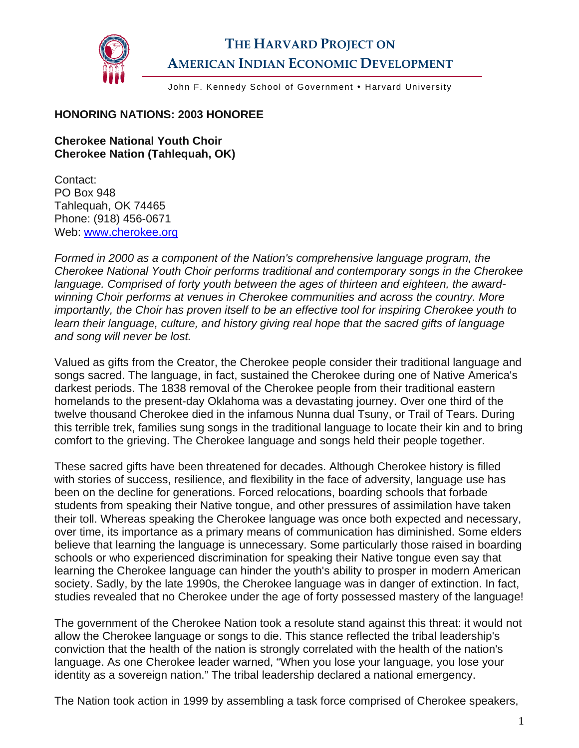

## **THE HARVARD PROJECT ON AMERICAN INDIAN ECONOMIC DEVELOPMENT**

John F. Kennedy School of Government . Harvard University

## **HONORING NATIONS: 2003 HONOREE**

## **Cherokee National Youth Choir Cherokee Nation (Tahlequah, OK)**

Contact: PO Box 948 Tahlequah, OK 74465 Phone: (918) 456-0671 Web: [www.cherokee.org](http://www.cherokee.org/)

*Formed in 2000 as a component of the Nation's comprehensive language program, the Cherokee National Youth Choir performs traditional and contemporary songs in the Cherokee language. Comprised of forty youth between the ages of thirteen and eighteen, the awardwinning Choir performs at venues in Cherokee communities and across the country. More importantly, the Choir has proven itself to be an effective tool for inspiring Cherokee youth to learn their language, culture, and history giving real hope that the sacred gifts of language and song will never be lost.* 

Valued as gifts from the Creator, the Cherokee people consider their traditional language and songs sacred. The language, in fact, sustained the Cherokee during one of Native America's darkest periods. The 1838 removal of the Cherokee people from their traditional eastern homelands to the present-day Oklahoma was a devastating journey. Over one third of the twelve thousand Cherokee died in the infamous Nunna dual Tsuny, or Trail of Tears. During this terrible trek, families sung songs in the traditional language to locate their kin and to bring comfort to the grieving. The Cherokee language and songs held their people together.

These sacred gifts have been threatened for decades. Although Cherokee history is filled with stories of success, resilience, and flexibility in the face of adversity, language use has been on the decline for generations. Forced relocations, boarding schools that forbade students from speaking their Native tongue, and other pressures of assimilation have taken their toll. Whereas speaking the Cherokee language was once both expected and necessary, over time, its importance as a primary means of communication has diminished. Some elders believe that learning the language is unnecessary. Some particularly those raised in boarding schools or who experienced discrimination for speaking their Native tongue even say that learning the Cherokee language can hinder the youth's ability to prosper in modern American society. Sadly, by the late 1990s, the Cherokee language was in danger of extinction. In fact, studies revealed that no Cherokee under the age of forty possessed mastery of the language!

The government of the Cherokee Nation took a resolute stand against this threat: it would not allow the Cherokee language or songs to die. This stance reflected the tribal leadership's conviction that the health of the nation is strongly correlated with the health of the nation's language. As one Cherokee leader warned, "When you lose your language, you lose your identity as a sovereign nation." The tribal leadership declared a national emergency.

The Nation took action in 1999 by assembling a task force comprised of Cherokee speakers,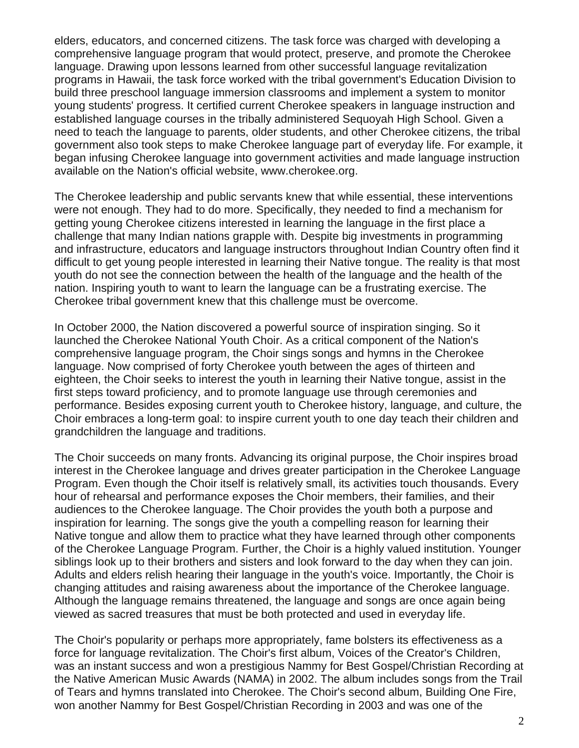elders, educators, and concerned citizens. The task force was charged with developing a comprehensive language program that would protect, preserve, and promote the Cherokee language. Drawing upon lessons learned from other successful language revitalization programs in Hawaii, the task force worked with the tribal government's Education Division to build three preschool language immersion classrooms and implement a system to monitor young students' progress. It certified current Cherokee speakers in language instruction and established language courses in the tribally administered Sequoyah High School. Given a need to teach the language to parents, older students, and other Cherokee citizens, the tribal government also took steps to make Cherokee language part of everyday life. For example, it began infusing Cherokee language into government activities and made language instruction available on the Nation's official website, www.cherokee.org.

The Cherokee leadership and public servants knew that while essential, these interventions were not enough. They had to do more. Specifically, they needed to find a mechanism for getting young Cherokee citizens interested in learning the language in the first place a challenge that many Indian nations grapple with. Despite big investments in programming and infrastructure, educators and language instructors throughout Indian Country often find it difficult to get young people interested in learning their Native tongue. The reality is that most youth do not see the connection between the health of the language and the health of the nation. Inspiring youth to want to learn the language can be a frustrating exercise. The Cherokee tribal government knew that this challenge must be overcome.

In October 2000, the Nation discovered a powerful source of inspiration singing. So it launched the Cherokee National Youth Choir. As a critical component of the Nation's comprehensive language program, the Choir sings songs and hymns in the Cherokee language. Now comprised of forty Cherokee youth between the ages of thirteen and eighteen, the Choir seeks to interest the youth in learning their Native tongue, assist in the first steps toward proficiency, and to promote language use through ceremonies and performance. Besides exposing current youth to Cherokee history, language, and culture, the Choir embraces a long-term goal: to inspire current youth to one day teach their children and grandchildren the language and traditions.

The Choir succeeds on many fronts. Advancing its original purpose, the Choir inspires broad interest in the Cherokee language and drives greater participation in the Cherokee Language Program. Even though the Choir itself is relatively small, its activities touch thousands. Every hour of rehearsal and performance exposes the Choir members, their families, and their audiences to the Cherokee language. The Choir provides the youth both a purpose and inspiration for learning. The songs give the youth a compelling reason for learning their Native tongue and allow them to practice what they have learned through other components of the Cherokee Language Program. Further, the Choir is a highly valued institution. Younger siblings look up to their brothers and sisters and look forward to the day when they can join. Adults and elders relish hearing their language in the youth's voice. Importantly, the Choir is changing attitudes and raising awareness about the importance of the Cherokee language. Although the language remains threatened, the language and songs are once again being viewed as sacred treasures that must be both protected and used in everyday life.

The Choir's popularity or perhaps more appropriately, fame bolsters its effectiveness as a force for language revitalization. The Choir's first album, Voices of the Creator's Children, was an instant success and won a prestigious Nammy for Best Gospel/Christian Recording at the Native American Music Awards (NAMA) in 2002. The album includes songs from the Trail of Tears and hymns translated into Cherokee. The Choir's second album, Building One Fire, won another Nammy for Best Gospel/Christian Recording in 2003 and was one of the